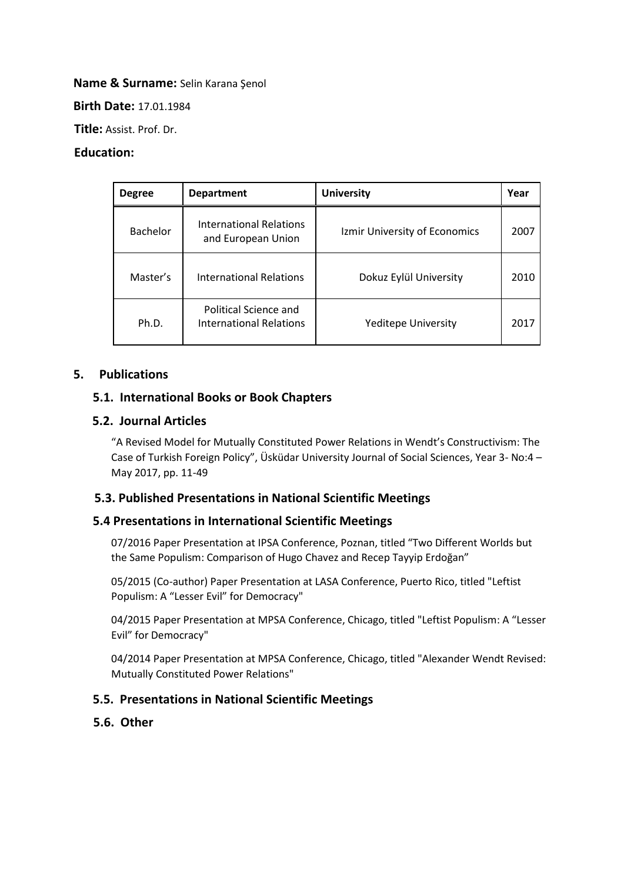#### **Name & Surname:** Selin Karana Şenol

**Birth Date:** 17.01.1984

**Title:** Assist. Prof. Dr.

#### **Education:**

| <b>Degree</b> | <b>Department</b>                                       | <b>University</b>             | Year |
|---------------|---------------------------------------------------------|-------------------------------|------|
| Bachelor      | International Relations<br>and European Union           | Izmir University of Economics | 2007 |
| Master's      | <b>International Relations</b>                          | Dokuz Eylül University        | 2010 |
| Ph.D.         | Political Science and<br><b>International Relations</b> | <b>Yeditepe University</b>    | 2017 |

## **5. Publications**

#### **5.1. International Books or Book Chapters**

#### **5.2. Journal Articles**

"A Revised Model for Mutually Constituted Power Relations in Wendt's Constructivism: The Case of Turkish Foreign Policy", Üsküdar University Journal of Social Sciences, Year 3- No:4 – May 2017, pp. 11-49

## **5.3. Published Presentations in National Scientific Meetings**

## **5.4 Presentations in International Scientific Meetings**

07/2016 Paper Presentation at IPSA Conference, Poznan, titled "Two Different Worlds but the Same Populism: Comparison of Hugo Chavez and Recep Tayyip Erdoğan"

05/2015 (Co-author) Paper Presentation at LASA Conference, Puerto Rico, titled "Leftist Populism: A "Lesser Evil" for Democracy"

04/2015 Paper Presentation at MPSA Conference, Chicago, titled "Leftist Populism: A "Lesser Evil" for Democracy"

04/2014 Paper Presentation at MPSA Conference, Chicago, titled "Alexander Wendt Revised: Mutually Constituted Power Relations"

## **5.5. Presentations in National Scientific Meetings**

#### **5.6. Other**